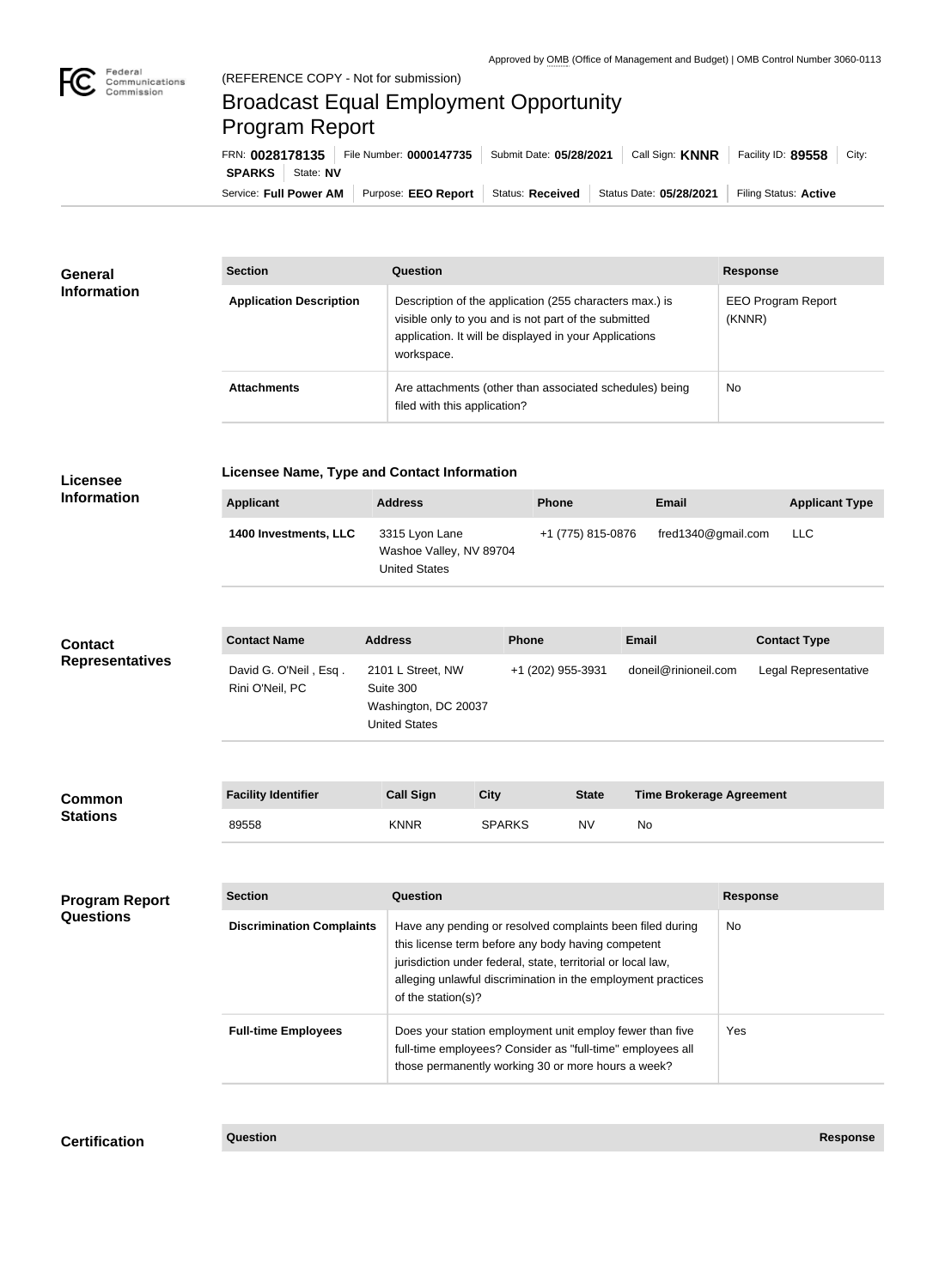

## Broadcast Equal Employment Opportunity Program Report

Service: Full Power AM | Purpose: EEO Report | Status: Received | Status Date: 05/28/2021 | Filing Status: Active **SPARKS** State: NV FRN: **0028178135** File Number: **0000147735** Submit Date: **05/28/2021** Call Sign: **KNNR** Facility ID: **89558** City:

| <b>General</b><br><b>Information</b> | <b>Section</b>                 | <b>Question</b>                                                                                                                                                                         | <b>Response</b>                     |  |
|--------------------------------------|--------------------------------|-----------------------------------------------------------------------------------------------------------------------------------------------------------------------------------------|-------------------------------------|--|
|                                      | <b>Application Description</b> | Description of the application (255 characters max.) is<br>visible only to you and is not part of the submitted<br>application. It will be displayed in your Applications<br>workspace. | <b>EEO Program Report</b><br>(KNNR) |  |
|                                      | <b>Attachments</b>             | Are attachments (other than associated schedules) being<br>filed with this application?                                                                                                 | No                                  |  |

| <b>Licensee</b>                           | <b>Licensee Name, Type and Contact Information</b> |                                                                                                                                                                              |                                                                                                                                                                                                                                                                       |                                           |                    |                                 |                       |  |  |
|-------------------------------------------|----------------------------------------------------|------------------------------------------------------------------------------------------------------------------------------------------------------------------------------|-----------------------------------------------------------------------------------------------------------------------------------------------------------------------------------------------------------------------------------------------------------------------|-------------------------------------------|--------------------|---------------------------------|-----------------------|--|--|
| <b>Information</b>                        | <b>Applicant</b>                                   | <b>Address</b>                                                                                                                                                               |                                                                                                                                                                                                                                                                       | <b>Phone</b>                              | <b>Email</b>       |                                 | <b>Applicant Type</b> |  |  |
|                                           | 1400 Investments, LLC                              | 3315 Lyon Lane<br><b>United States</b>                                                                                                                                       | +1 (775) 815-0876<br>Washoe Valley, NV 89704                                                                                                                                                                                                                          |                                           | fred1340@gmail.com |                                 | <b>LLC</b>            |  |  |
| <b>Contact</b><br><b>Representatives</b>  | <b>Contact Name</b>                                | <b>Address</b>                                                                                                                                                               |                                                                                                                                                                                                                                                                       | Phone                                     |                    |                                 | <b>Contact Type</b>   |  |  |
|                                           | David G. O'Neil, Esq.<br>Rini O'Neil, PC           | 2101 L Street, NW<br>Suite 300<br>Washington, DC 20037<br><b>United States</b>                                                                                               |                                                                                                                                                                                                                                                                       | doneil@rinioneil.com<br>+1 (202) 955-3931 |                    |                                 | Legal Representative  |  |  |
| <b>Common</b><br><b>Stations</b>          | <b>Facility Identifier</b>                         | <b>Call Sign</b>                                                                                                                                                             | <b>City</b>                                                                                                                                                                                                                                                           | <b>State</b>                              |                    | <b>Time Brokerage Agreement</b> |                       |  |  |
|                                           | 89558                                              | <b>KNNR</b>                                                                                                                                                                  | <b>SPARKS</b>                                                                                                                                                                                                                                                         | <b>NV</b>                                 | No                 |                                 |                       |  |  |
| <b>Program Report</b><br><b>Questions</b> | <b>Section</b>                                     | Question                                                                                                                                                                     |                                                                                                                                                                                                                                                                       |                                           |                    | <b>Response</b>                 |                       |  |  |
|                                           | <b>Discrimination Complaints</b>                   |                                                                                                                                                                              | Have any pending or resolved complaints been filed during<br>this license term before any body having competent<br>jurisdiction under federal, state, territorial or local law,<br>alleging unlawful discrimination in the employment practices<br>of the station(s)? |                                           |                    |                                 |                       |  |  |
|                                           | <b>Full-time Employees</b>                         | Does your station employment unit employ fewer than five<br>full-time employees? Consider as "full-time" employees all<br>those permanently working 30 or more hours a week? |                                                                                                                                                                                                                                                                       | Yes                                       |                    |                                 |                       |  |  |

**Certification Question Response**